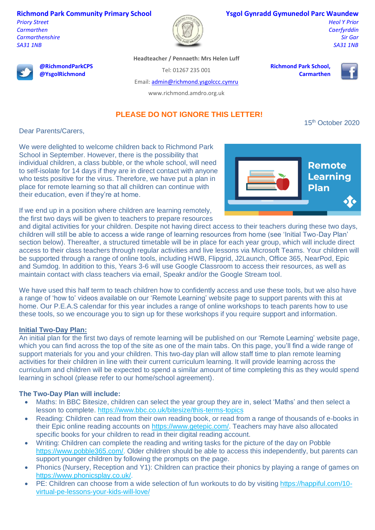### **Richmond Park Community Primary School**

*Priory Street Carmarthen Carmarthenshire SA31 1NB*



#### **Ysgol Gynradd Gymunedol Parc Waundew**

*Heol Y Prior Caerfyrddin Sir Gar SA31 1NB*



**@RichmondParkCPS @YsgolRichmond**

**Headteacher / Pennaeth: Mrs Helen Luff**

Tel: 01267 235 001

**Richmond Park School,** 

**Carmarthen**



Email[: admin@richmond.ysgolccc.cymru](mailto:admin@richmond.ysgolccc.cymru)

www.richmond.amdro.org.uk

# **PLEASE DO NOT IGNORE THIS LETTER!**

15th October 2020

Dear Parents/Carers,

We were delighted to welcome children back to Richmond Park School in September. However, there is the possibility that individual children, a class bubble, or the whole school, will need to self-isolate for 14 days if they are in direct contact with anyone who tests positive for the virus. Therefore, we have put a plan in place for remote learning so that all children can continue with their education, even if they're at home.

If we end up in a position where children are learning remotely, the first two days will be given to teachers to prepare resources



and digital activities for your children. Despite not having direct access to their teachers during these two days, children will still be able to access a wide range of learning resources from home (see 'Initial Two-Day Plan' section below). Thereafter, a structured timetable will be in place for each year group, which will include direct access to their class teachers through regular activities and live lessons via Microsoft Teams. Your children will be supported through a range of online tools, including HWB, Flipgrid, J2Launch, Office 365, NearPod, Epic and Sumdog. In addition to this, Years 3-6 will use Google Classroom to access their resources, as well as maintain contact with class teachers via email, Speakr and/or the Google Stream tool.

We have used this half term to teach children how to confidently access and use these tools, but we also have a range of 'how to' videos available on our 'Remote Learning' website page to support parents with this at home. Our P.E.A.S calendar for this year includes a range of online workshops to teach parents how to use these tools, so we encourage you to sign up for these workshops if you require support and information.

# **Initial Two-Day Plan:**

An initial plan for the first two days of remote learning will be published on our 'Remote Learning' website page, which you can find across the top of the site as one of the main tabs. On this page, you'll find a wide range of support materials for you and your children. This two-day plan will allow staff time to plan remote learning activities for their children in line with their current curriculum learning. It will provide learning across the curriculum and children will be expected to spend a similar amount of time completing this as they would spend learning in school (please refer to our home/school agreement).

# **The Two-Day Plan will include:**

- Maths: In BBC Bitesize, children can select the year group they are in, select 'Maths' and then select a lesson to complete.<https://www.bbc.co.uk/bitesize/this-terms-topics>
- Reading: Children can read from their own reading book, or read from a range of thousands of e-books in their Epic online reading accounts on [https://www.getepic.com/.](https://www.getepic.com/) Teachers may have also allocated specific books for your children to read in their digital reading account.
- Writing: Children can complete the reading and writing tasks for the picture of the day on Pobble [https://www.pobble365.com/.](https://www.pobble365.com/) Older children should be able to access this independently, but parents can support younger children by following the prompts on the page.
- Phonics (Nursery, Reception and Y1): Children can practice their phonics by playing a range of games on [https://www.phonicsplay.co.uk/.](https://www.phonicsplay.co.uk/)
- PE: Children can choose from a wide selection of fun workouts to do by visiting [https://happiful.com/10](https://happiful.com/10-virtual-pe-lessons-your-kids-will-love/) [virtual-pe-lessons-your-kids-will-love/](https://happiful.com/10-virtual-pe-lessons-your-kids-will-love/)